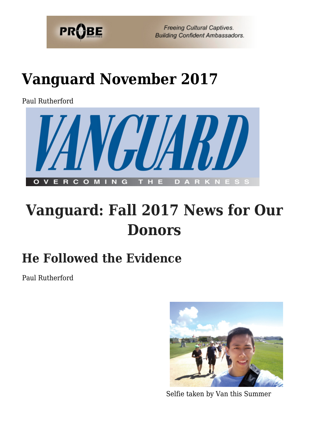

# **[Vanguard November 2017](https://probe.org/vanguard-november-2017/)**

Paul Rutherford



## **Vanguard: Fall 2017 News for Our Donors**

### **He Followed the Evidence**

Paul Rutherford



Selfie taken by Van this Summer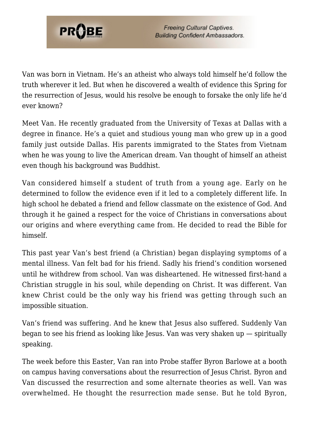

Van was born in Vietnam. He's an atheist who always told himself he'd follow the truth wherever it led. But when he discovered a wealth of evidence this Spring for the resurrection of Jesus, would his resolve be enough to forsake the only life he'd ever known?

Meet Van. He recently graduated from the University of Texas at Dallas with a degree in finance. He's a quiet and studious young man who grew up in a good family just outside Dallas. His parents immigrated to the States from Vietnam when he was young to live the American dream. Van thought of himself an atheist even though his background was Buddhist.

Van considered himself a student of truth from a young age. Early on he determined to follow the evidence even if it led to a completely different life. In high school he debated a friend and fellow classmate on the existence of God. And through it he gained a respect for the voice of Christians in conversations about our origins and where everything came from. He decided to read the Bible for himself.

This past year Van's best friend (a Christian) began displaying symptoms of a mental illness. Van felt bad for his friend. Sadly his friend's condition worsened until he withdrew from school. Van was disheartened. He witnessed first-hand a Christian struggle in his soul, while depending on Christ. It was different. Van knew Christ could be the only way his friend was getting through such an impossible situation.

Van's friend was suffering. And he knew that Jesus also suffered. Suddenly Van began to see his friend as looking like Jesus. Van was very shaken up — spiritually speaking.

The week before this Easter, Van ran into Probe staffer Byron Barlowe at a booth on campus having conversations about the resurrection of Jesus Christ. Byron and Van discussed the resurrection and some alternate theories as well. Van was overwhelmed. He thought the resurrection made sense. But he told Byron,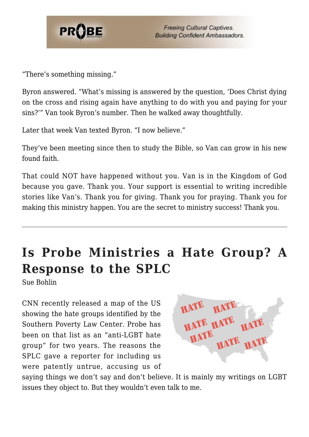

"There's something missing."

Byron answered. "What's missing is answered by the question, 'Does Christ dying on the cross and rising again have anything to do with you and paying for your sins?'" Van took Byron's number. Then he walked away thoughtfully.

Later that week Van texted Byron. "I now believe."

They've been meeting since then to study the Bible, so Van can grow in his new found faith.

That could NOT have happened without you. Van is in the Kingdom of God because you gave. Thank you. Your support is essential to writing incredible stories like Van's. Thank you for giving. Thank you for praying. Thank you for making this ministry happen. You are the secret to ministry success! Thank you.

#### **Is Probe Ministries a Hate Group? A Response to the SPLC**

Sue Bohlin

CNN recently released a map of the US showing the hate groups identified by the Southern Poverty Law Center. Probe has been on that list as an "anti-LGBT hate group" for two years. The reasons the SPLC gave a reporter for including us were patently untrue, accusing us of

HAT' HATE HATE HATE HATE HAT

saying things we don't say and don't believe. It is mainly my writings on LGBT issues they object to. But they wouldn't even talk to me.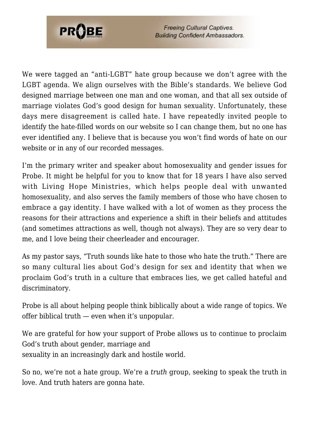

We were tagged an "anti-LGBT" hate group because we don't agree with the LGBT agenda. We align ourselves with the Bible's standards. We believe God designed marriage between one man and one woman, and that all sex outside of marriage violates God's good design for human sexuality. Unfortunately, these days mere disagreement is called hate. I have repeatedly invited people to identify the hate-filled words on our website so I can change them, but no one has ever identified any. I believe that is because you won't find words of hate on our website or in any of our recorded messages.

I'm the primary writer and speaker about homosexuality and gender issues for Probe. It might be helpful for you to know that for 18 years I have also served with Living Hope Ministries, which helps people deal with unwanted homosexuality, and also serves the family members of those who have chosen to embrace a gay identity. I have walked with a lot of women as they process the reasons for their attractions and experience a shift in their beliefs and attitudes (and sometimes attractions as well, though not always). They are so very dear to me, and I love being their cheerleader and encourager.

As my pastor says, "Truth sounds like hate to those who hate the truth." There are so many cultural lies about God's design for sex and identity that when we proclaim God's truth in a culture that embraces lies, we get called hateful and discriminatory.

Probe is all about helping people think biblically about a wide range of topics. We offer biblical truth — even when it's unpopular.

We are grateful for how your support of Probe allows us to continue to proclaim God's truth about gender, marriage and sexuality in an increasingly dark and hostile world.

So no, we're not a hate group. We're a *truth* group, seeking to speak the truth in love. And truth haters are gonna hate.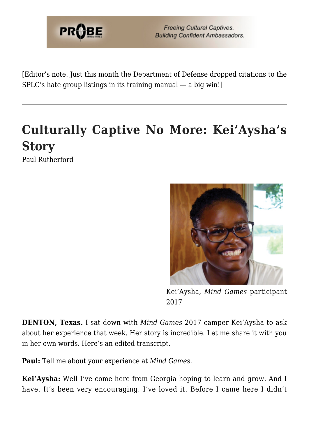

[Editor's note: Just this month the Department of Defense dropped citations to the SPLC's hate group listings in its training manual — a big win!]

### **Culturally Captive No More: Kei'Aysha's Story**

Paul Rutherford



Kei'Aysha, *Mind Games* participant 2017

**DENTON, Texas.** I sat down with *Mind Games* 2017 camper Kei'Aysha to ask about her experience that week. Her story is incredible. Let me share it with you in her own words. Here's an edited transcript.

**Paul:** Tell me about your experience at *Mind Games*.

**Kei'Aysha:** Well I've come here from Georgia hoping to learn and grow. And I have. It's been very encouraging. I've loved it. Before I came here I didn't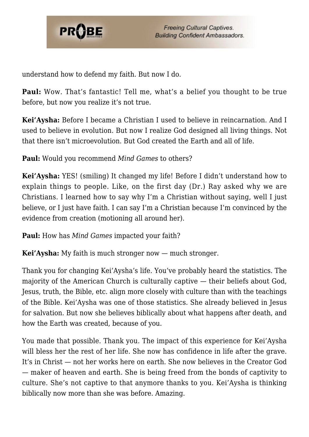

understand how to defend my faith. But now I do.

**Paul:** Wow. That's fantastic! Tell me, what's a belief you thought to be true before, but now you realize it's not true.

**Kei'Aysha:** Before I became a Christian I used to believe in reincarnation. And I used to believe in evolution. But now I realize God designed all living things. Not that there isn't microevolution. But God created the Earth and all of life.

**Paul:** Would you recommend *Mind Games* to others?

**Kei'Aysha:** YES! (smiling) It changed my life! Before I didn't understand how to explain things to people. Like, on the first day (Dr.) Ray asked why we are Christians. I learned how to say why I'm a Christian without saying, well I just believe, or I just have faith. I can say I'm a Christian because I'm convinced by the evidence from creation (motioning all around her).

**Paul:** How has *Mind Games* impacted your faith?

**Kei'Aysha:** My faith is much stronger now — much stronger.

Thank you for changing Kei'Aysha's life. You've probably heard the statistics. The majority of the American Church is culturally captive — their beliefs about God, Jesus, truth, the Bible, etc. align more closely with culture than with the teachings of the Bible. Kei'Aysha was one of those statistics. She already believed in Jesus for salvation. But now she believes biblically about what happens after death, and how the Earth was created, because of you.

You made that possible. Thank you. The impact of this experience for Kei'Aysha will bless her the rest of her life. She now has confidence in life after the grave. It's in Christ — not her works here on earth. She now believes in the Creator God — maker of heaven and earth. She is being freed from the bonds of captivity to culture. She's not captive to that anymore thanks to you. Kei'Aysha is thinking biblically now more than she was before. Amazing.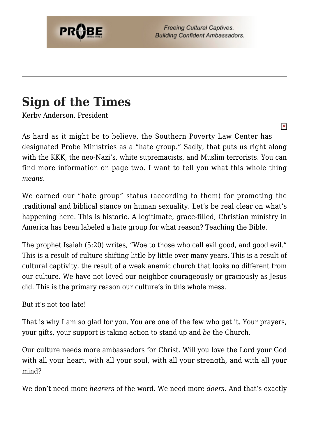

 $\pmb{\times}$ 

#### **Sign of the Times**

Kerby Anderson, President

As hard as it might be to believe, the Southern Poverty Law Center has designated Probe Ministries as a "hate group." Sadly, that puts us right along with the KKK, the neo-Nazi's, white supremacists, and Muslim terrorists. You can find more information on page two. I want to tell you what this whole thing *means*.

We earned our "hate group" status (according to them) for promoting the traditional and biblical stance on human sexuality. Let's be real clear on what's happening here. This is historic. A legitimate, grace-filled, Christian ministry in America has been labeled a hate group for what reason? Teaching the Bible.

The prophet Isaiah (5:20) writes, "Woe to those who call evil good, and good evil." This is a result of culture shifting little by little over many years. This is a result of cultural captivity, the result of a weak anemic church that looks no different from our culture. We have not loved our neighbor courageously or graciously as Jesus did. This is the primary reason our culture's in this whole mess.

But it's not too late!

That is why I am so glad for you. You are one of the few who get it. Your prayers, your gifts, your support is taking action to stand up and *be* the Church.

Our culture needs more ambassadors for Christ. Will you love the Lord your God with all your heart, with all your soul, with all your strength, and with all your mind?

We don't need more *hearers* of the word. We need more *doers*. And that's exactly